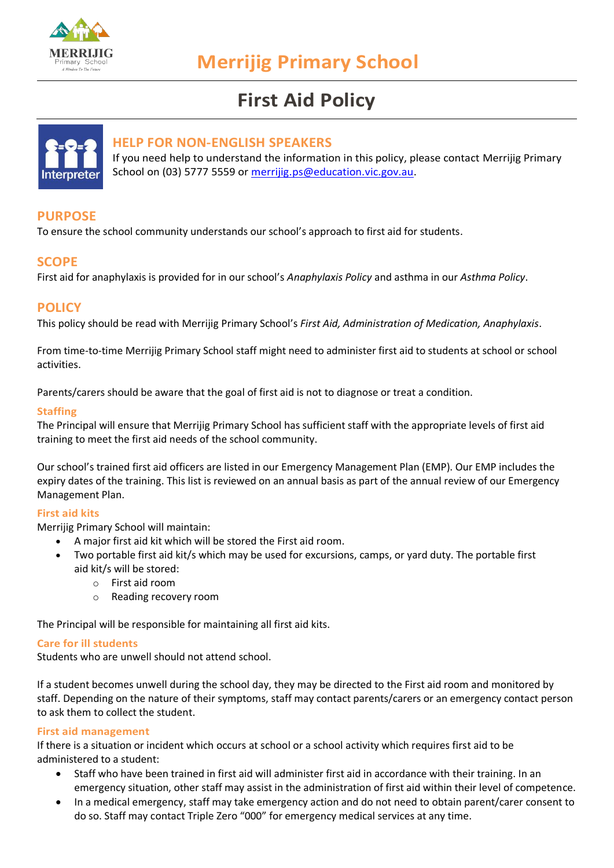

# **First Aid Policy**



### **HELP FOR NON-ENGLISH SPEAKERS**

If you need help to understand the information in this policy, please contact Merrijig Primary School on (03) 5777 5559 or [merrijig.ps@education.vic.gov.au.](mailto:merrijig.ps@education.vic.gov.au)

# **PURPOSE**

To ensure the school community understands our school's approach to first aid for students.

## **SCOPE**

First aid for anaphylaxis is provided for in our school's *Anaphylaxis Policy* and asthma in our *Asthma Policy*.

## **POLICY**

This policy should be read with Merrijig Primary School's *First Aid, Administration of Medication, Anaphylaxis*.

From time-to-time Merrijig Primary School staff might need to administer first aid to students at school or school activities.

Parents/carers should be aware that the goal of first aid is not to diagnose or treat a condition.

#### **Staffing**

The Principal will ensure that Merrijig Primary School has sufficient staff with the appropriate levels of first aid training to meet the first aid needs of the school community.

Our school's trained first aid officers are listed in our Emergency Management Plan (EMP). Our EMP includes the expiry dates of the training. This list is reviewed on an annual basis as part of the annual review of our Emergency Management Plan.

#### **First aid kits**

Merrijig Primary School will maintain:

- A major first aid kit which will be stored the First aid room.
- Two portable first aid kit/s which may be used for excursions, camps, or yard duty. The portable first aid kit/s will be stored:
	- o First aid room
	- o Reading recovery room

The Principal will be responsible for maintaining all first aid kits.

#### **Care for ill students**

Students who are unwell should not attend school.

If a student becomes unwell during the school day, they may be directed to the First aid room and monitored by staff. Depending on the nature of their symptoms, staff may contact parents/carers or an emergency contact person to ask them to collect the student.

#### **First aid management**

If there is a situation or incident which occurs at school or a school activity which requires first aid to be administered to a student:

- Staff who have been trained in first aid will administer first aid in accordance with their training. In an emergency situation, other staff may assist in the administration of first aid within their level of competence.
- In a medical emergency, staff may take emergency action and do not need to obtain parent/carer consent to do so. Staff may contact Triple Zero "000" for emergency medical services at any time.